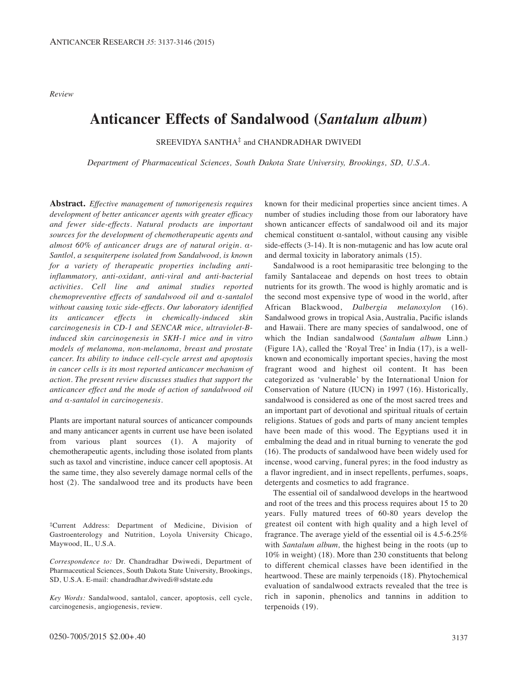*Review*

# **Anticancer Effects of Sandalwood (***Santalum album***)**

SREEVIDYA SANTHA<sup>‡</sup> and CHANDRADHAR DWIVEDI

*Department of Pharmaceutical Sciences, South Dakota State University, Brookings, SD, U.S.A.*

**Abstract.** *Effective management of tumorigenesis requires development of better anticancer agents with greater efficacy and fewer side-effects. Natural products are important sources for the development of chemotherapeutic agents and almost 60% of anticancer drugs are of natural origin. α-Santlol, a sesquiterpene isolated from Sandalwood, is known for a variety of therapeutic properties including antiinflammatory, anti-oxidant, anti-viral and anti-bacterial activities. Cell line and animal studies reported chemopreventive effects of sandalwood oil and α-santalol without causing toxic side-effects. Our laboratory identified its anticancer effects in chemically-induced skin carcinogenesis in CD-1 and SENCAR mice, ultraviolet-Binduced skin carcinogenesis in SKH-1 mice and in vitro models of melanoma, non-melanoma, breast and prostate cancer. Its ability to induce cell-cycle arrest and apoptosis in cancer cells is its most reported anticancer mechanism of action. The present review discusses studies that support the anticancer effect and the mode of action of sandalwood oil and α-santalol in carcinogenesis.*

Plants are important natural sources of anticancer compounds and many anticancer agents in current use have been isolated from various plant sources (1). A majority of chemotherapeutic agents, including those isolated from plants such as taxol and vincristine, induce cancer cell apoptosis. At the same time, they also severely damage normal cells of the host (2). The sandalwood tree and its products have been

‡Current Address: Department of Medicine, Division of Gastroenterology and Nutrition, Loyola University Chicago, Maywood, IL, U.S.A.

*Correspondence to:* Dr. Chandradhar Dwiwedi, Department of Pharmaceutical Sciences, South Dakota State University, Brookings, SD, U.S.A. E-mail: chandradhar.dwivedi@sdstate.edu

*Key Words:* Sandalwood, santalol, cancer, apoptosis, cell cycle, carcinogenesis, angiogenesis, review.

known for their medicinal properties since ancient times. A number of studies including those from our laboratory have shown anticancer effects of sandalwood oil and its major chemical constituent  $\alpha$ -santalol, without causing any visible side-effects (3-14). It is non-mutagenic and has low acute oral and dermal toxicity in laboratory animals (15).

Sandalwood is a root hemiparasitic tree belonging to the family Santalaceae and depends on host trees to obtain nutrients for its growth. The wood is highly aromatic and is the second most expensive type of wood in the world, after African Blackwood, *Dalbergia melanoxylon* (16). Sandalwood grows in tropical Asia, Australia, Pacific islands and Hawaii. There are many species of sandalwood, one of which the Indian sandalwood (*Santalum album* Linn.) (Figure 1A), called the 'Royal Tree' in India (17), is a wellknown and economically important species, having the most fragrant wood and highest oil content. It has been categorized as 'vulnerable' by the International Union for Conservation of Nature (IUCN) in 1997 (16). Historically, sandalwood is considered as one of the most sacred trees and an important part of devotional and spiritual rituals of certain religions. Statues of gods and parts of many ancient temples have been made of this wood. The Egyptians used it in embalming the dead and in ritual burning to venerate the god (16). The products of sandalwood have been widely used for incense, wood carving, funeral pyres; in the food industry as a flavor ingredient, and in insect repellents, perfumes, soaps, detergents and cosmetics to add fragrance.

The essential oil of sandalwood develops in the heartwood and root of the trees and this process requires about 15 to 20 years. Fully matured trees of 60-80 years develop the greatest oil content with high quality and a high level of fragrance. The average yield of the essential oil is 4.5-6.25% with *Santalum album,* the highest being in the roots (up to 10% in weight) (18). More than 230 constituents that belong to different chemical classes have been identified in the heartwood. These are mainly terpenoids (18). Phytochemical evaluation of sandalwood extracts revealed that the tree is rich in saponin, phenolics and tannins in addition to terpenoids (19).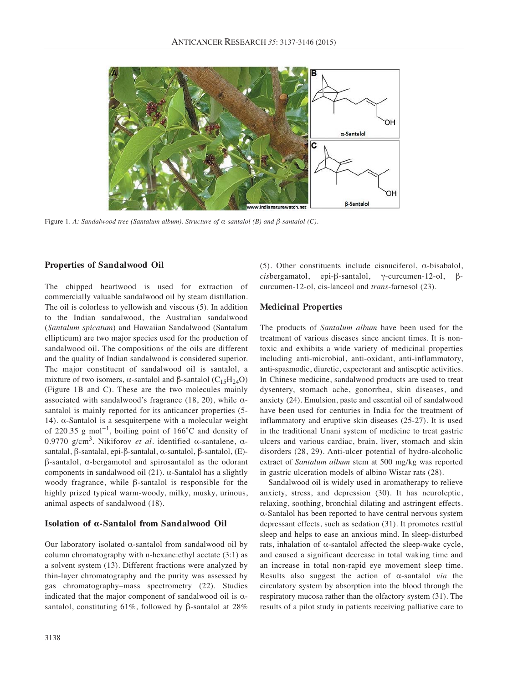

Figure 1. *A: Sandalwood tree (Santalum album). Structure of α-santalol (B) and β-santalol (C).*

### **Properties of Sandalwood Oil**

The chipped heartwood is used for extraction of commercially valuable sandalwood oil by steam distillation. The oil is colorless to yellowish and viscous (5). In addition to the Indian sandalwood, the Australian sandalwood (*Santalum spicatum*) and Hawaiian Sandalwood (Santalum ellipticum) are two major species used for the production of sandalwood oil. The compositions of the oils are different and the quality of Indian sandalwood is considered superior. The major constituent of sandalwood oil is santalol, a mixture of two isomers, α-santalol and β-santalol ( $C_1$ 5H<sub>24</sub>O) (Figure 1B and C). These are the two molecules mainly associated with sandalwood's fragrance (18, 20), while  $\alpha$ santalol is mainly reported for its anticancer properties (5- 14). α-Santalol is a sesquiterpene with a molecular weight of 220.35 g mol−1, boiling point of 166˚C and density of 0.9770 g/cm3. Nikiforov *et al.* identified α-santalene, αsantalal, β-santalal, epi-β-santalal, α-santalol, β-santalol, (E) β-santalol, α-bergamotol and spirosantalol as the odorant components in sandalwood oil (21). α-Santalol has a slightly woody fragrance, while β-santalol is responsible for the highly prized typical warm-woody, milky, musky, urinous, animal aspects of sandalwood (18).

### **Isolation of α-Santalol from Sandalwood Oil**

Our laboratory isolated α-santalol from sandalwood oil by column chromatography with n-hexane:ethyl acetate (3:1) as a solvent system (13). Different fractions were analyzed by thin-layer chromatography and the purity was assessed by gas chromatography–mass spectrometry (22). Studies indicated that the major component of sandalwood oil is  $\alpha$ santalol, constituting 61%, followed by β-santalol at 28%

3138

(5). Other constituents include cisnuciferol,  $\alpha$ -bisabalol, *cis*bergamatol, epi-β-santalol, γ-curcumen-12-ol, βcurcumen-12-ol, cis-lanceol and *trans*-farnesol (23).

#### **Medicinal Properties**

The products of *Santalum album* have been used for the treatment of various diseases since ancient times. It is nontoxic and exhibits a wide variety of medicinal properties including anti-microbial, anti-oxidant, anti-inflammatory, anti-spasmodic, diuretic, expectorant and antiseptic activities. In Chinese medicine, sandalwood products are used to treat dysentery, stomach ache, gonorrhea, skin diseases, and anxiety (24). Emulsion, paste and essential oil of sandalwood have been used for centuries in India for the treatment of inflammatory and eruptive skin diseases (25-27). It is used in the traditional Unani system of medicine to treat gastric ulcers and various cardiac, brain, liver, stomach and skin disorders (28, 29). Anti-ulcer potential of hydro-alcoholic extract of *Santalum album* stem at 500 mg/kg was reported in gastric ulceration models of albino Wistar rats (28).

Sandalwood oil is widely used in aromatherapy to relieve anxiety, stress, and depression (30). It has neuroleptic, relaxing, soothing, bronchial dilating and astringent effects. α-Santalol has been reported to have central nervous system depressant effects, such as sedation (31). It promotes restful sleep and helps to ease an anxious mind. In sleep-disturbed rats, inhalation of α-santalol affected the sleep-wake cycle, and caused a significant decrease in total waking time and an increase in total non-rapid eye movement sleep time. Results also suggest the action of α-santalol *via* the circulatory system by absorption into the blood through the respiratory mucosa rather than the olfactory system (31). The results of a pilot study in patients receiving palliative care to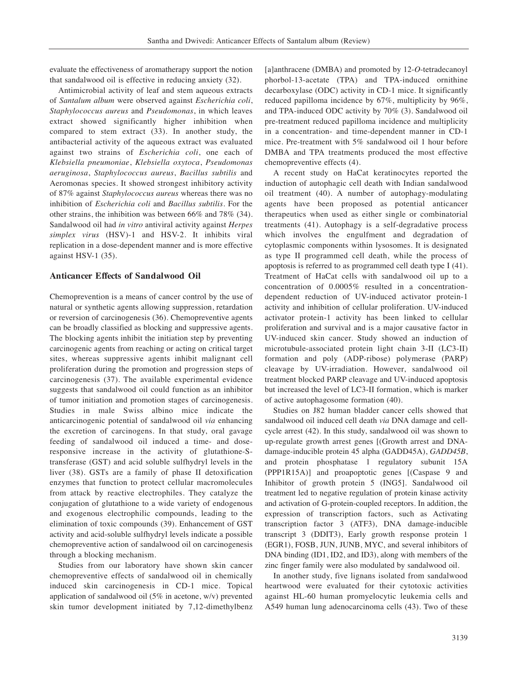evaluate the effectiveness of aromatherapy support the notion that sandalwood oil is effective in reducing anxiety (32).

Antimicrobial activity of leaf and stem aqueous extracts of *Santalum album* were observed against *Escherichia coli*, *Staphylococcus aureus* and *Pseudomonas*, in which leaves extract showed significantly higher inhibition when compared to stem extract (33). In another study, the antibacterial activity of the aqueous extract was evaluated against two strains of *Escherichia coli*, one each of *Klebsiella pneumoniae*, *Klebsiella oxytoca*, *Pseudomonas aeruginosa*, *Staphylococcus aureus*, *Bacillus subtilis* and Aeromonas species. It showed strongest inhibitory activity of 87% against *Staphylococcus aureus* whereas there was no inhibition of *Escherichia coli* and *Bacillus subtilis*. For the other strains, the inhibition was between 66% and 78% (34). Sandalwood oil had *in vitro* antiviral activity against *Herpes simplex virus* (HSV)-1 and HSV-2. It inhibits viral replication in a dose-dependent manner and is more effective against HSV-1 (35).

#### **Anticancer Effects of Sandalwood Oil**

Chemoprevention is a means of cancer control by the use of natural or synthetic agents allowing suppression, retardation or reversion of carcinogenesis (36). Chemopreventive agents can be broadly classified as blocking and suppressive agents. The blocking agents inhibit the initiation step by preventing carcinogenic agents from reaching or acting on critical target sites, whereas suppressive agents inhibit malignant cell proliferation during the promotion and progression steps of carcinogenesis (37). The available experimental evidence suggests that sandalwood oil could function as an inhibitor of tumor initiation and promotion stages of carcinogenesis. Studies in male Swiss albino mice indicate the anticarcinogenic potential of sandalwood oil *via* enhancing the excretion of carcinogens. In that study, oral gavage feeding of sandalwood oil induced a time- and doseresponsive increase in the activity of glutathione-Stransferase (GST) and acid soluble sulfhydryl levels in the liver (38). GSTs are a family of phase II detoxification enzymes that function to protect cellular macromolecules from attack by reactive electrophiles. They catalyze the conjugation of glutathione to a wide variety of endogenous and exogenous electrophilic compounds, leading to the elimination of toxic compounds (39). Enhancement of GST activity and acid-soluble sulfhydryl levels indicate a possible chemopreventive action of sandalwood oil on carcinogenesis through a blocking mechanism.

Studies from our laboratory have shown skin cancer chemopreventive effects of sandalwood oil in chemically induced skin carcinogenesis in CD-1 mice. Topical application of sandalwood oil (5% in acetone, w/v) prevented skin tumor development initiated by 7,12-dimethylbenz

[a]anthracene (DMBA) and promoted by 12-*O*-tetradecanoyl phorbol-13-acetate (TPA) and TPA-induced ornithine decarboxylase (ODC) activity in CD-1 mice. It significantly reduced papilloma incidence by 67%, multiplicity by 96%, and TPA-induced ODC activity by 70% (3). Sandalwood oil pre-treatment reduced papilloma incidence and multiplicity in a concentration- and time-dependent manner in CD-1 mice. Pre-treatment with 5% sandalwood oil 1 hour before DMBA and TPA treatments produced the most effective chemopreventive effects (4).

A recent study on HaCat keratinocytes reported the induction of autophagic cell death with Indian sandalwood oil treatment (40). A number of autophagy-modulating agents have been proposed as potential anticancer therapeutics when used as either single or combinatorial treatments (41). Autophagy is a self-degradative process which involves the engulfment and degradation of cytoplasmic components within lysosomes. It is designated as type II programmed cell death, while the process of apoptosis is referred to as programmed cell death type I (41). Treatment of HaCat cells with sandalwood oil up to a concentration of 0.0005% resulted in a concentrationdependent reduction of UV-induced activator protein-1 activity and inhibition of cellular proliferation. UV-induced activator protein-1 activity has been linked to cellular proliferation and survival and is a major causative factor in UV-induced skin cancer. Study showed an induction of microtubule-associated protein light chain 3-II (LC3-II) formation and poly (ADP-ribose) polymerase (PARP) cleavage by UV-irradiation. However, sandalwood oil treatment blocked PARP cleavage and UV-induced apoptosis but increased the level of LC3-II formation, which is marker of active autophagosome formation (40).

Studies on J82 human bladder cancer cells showed that sandalwood oil induced cell death *via* DNA damage and cellcycle arrest (42). In this study, sandalwood oil was shown to up-regulate growth arrest genes [(Growth arrest and DNAdamage-inducible protein 45 alpha (GADD45A), *GADD45B*, and protein phosphatase 1 regulatory subunit 15A (PPP1R15A)] and proapoptotic genes [(Caspase 9 and Inhibitor of growth protein 5 (ING5]. Sandalwood oil treatment led to negative regulation of protein kinase activity and activation of G-protein-coupled receptors. In addition, the expression of transcription factors, such as Activating transcription factor 3 (ATF3), DNA damage-inducible transcript 3 (DDIT3), Early growth response protein 1 (EGR1), FOSB, JUN, JUNB, MYC, and several inhibitors of DNA binding (ID1, ID2, and ID3), along with members of the zinc finger family were also modulated by sandalwood oil.

In another study, five lignans isolated from sandalwood heartwood were evaluated for their cytotoxic activities against HL-60 human promyelocytic leukemia cells and A549 human lung adenocarcinoma cells (43). Two of these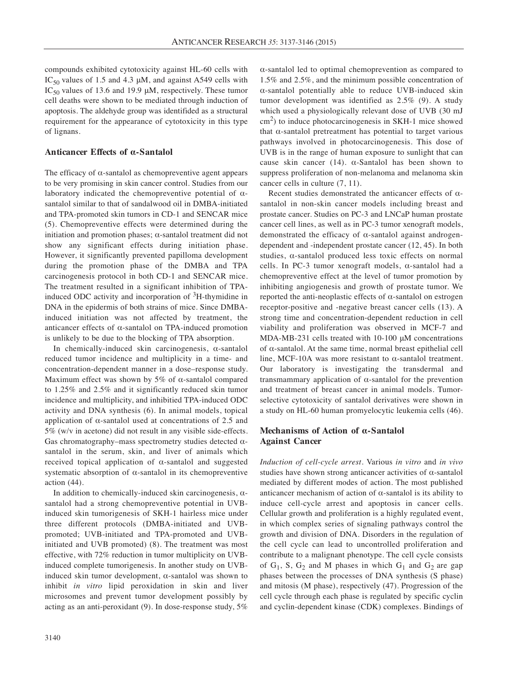compounds exhibited cytotoxicity against HL-60 cells with IC<sub>50</sub> values of 1.5 and 4.3  $\mu$ M, and against A549 cells with IC<sub>50</sub> values of 13.6 and 19.9  $\mu$ M, respectively. These tumor cell deaths were shown to be mediated through induction of apoptosis. The aldehyde group was identifided as a structural requirement for the appearance of cytotoxicity in this type of lignans.

### **Anticancer Effects of α-Santalol**

The efficacy of  $\alpha$ -santalol as chemopreventive agent appears to be very promising in skin cancer control. Studies from our laboratory indicated the chemopreventive potential of  $\alpha$ santalol similar to that of sandalwood oil in DMBA-initiated and TPA-promoted skin tumors in CD-1 and SENCAR mice (5). Chemopreventive effects were determined during the initiation and promotion phases;  $\alpha$ -santalol treatment did not show any significant effects during initiation phase. However, it significantly prevented papilloma development during the promotion phase of the DMBA and TPA carcinogenesis protocol in both CD-1 and SENCAR mice. The treatment resulted in a significant inhibition of TPAinduced ODC activity and incorporation of  ${}^{3}$ H-thymidine in DNA in the epidermis of both strains of mice. Since DMBAinduced initiation was not affected by treatment, the anticancer effects of α-santalol on TPA-induced promotion is unlikely to be due to the blocking of TPA absorption.

In chemically-induced skin carcinogenesis, α-santalol reduced tumor incidence and multiplicity in a time- and concentration-dependent manner in a dose–response study. Maximum effect was shown by 5% of  $\alpha$ -santalol compared to 1.25% and 2.5% and it significantly reduced skin tumor incidence and multiplicity, and inhibitied TPA-induced ODC activity and DNA synthesis (6). In animal models, topical application of α-santalol used at concentrations of 2.5 and 5% (w/v in acetone) did not result in any visible side-effects. Gas chromatography–mass spectrometry studies detected  $\alpha$ santalol in the serum, skin, and liver of animals which received topical application of  $\alpha$ -santalol and suggested systematic absorption of  $\alpha$ -santalol in its chemopreventive action (44).

In addition to chemically-induced skin carcinogenesis,  $\alpha$ santalol had a strong chemopreventive potential in UVBinduced skin tumorigenesis of SKH-1 hairless mice under three different protocols (DMBA-initiated and UVBpromoted; UVB-initiated and TPA-promoted and UVBinitiated and UVB promoted) (8). The treatment was most effective, with 72% reduction in tumor multiplicity on UVBinduced complete tumorigenesis. In another study on UVBinduced skin tumor development, α-santalol was shown to inhibit *in vitro* lipid peroxidation in skin and liver microsomes and prevent tumor development possibly by acting as an anti-peroxidant (9). In dose-response study, 5% α-santalol led to optimal chemoprevention as compared to 1.5% and 2.5%, and the minimum possible concentration of α-santalol potentially able to reduce UVB-induced skin tumor development was identified as 2.5% (9). A study which used a physiologically relevant dose of UVB (30 mJ  $\text{cm}^2$ ) to induce photocarcinogenesis in SKH-1 mice showed that α-santalol pretreatment has potential to target various pathways involved in photocarcinogenesis. This dose of UVB is in the range of human exposure to sunlight that can cause skin cancer (14).  $\alpha$ -Santalol has been shown to suppress proliferation of non-melanoma and melanoma skin cancer cells in culture (7, 11).

Recent studies demonstrated the anticancer effects of αsantalol in non-skin cancer models including breast and prostate cancer. Studies on PC-3 and LNCaP human prostate cancer cell lines, as well as in PC-3 tumor xenograft models, demonstrated the efficacy of  $\alpha$ -santalol against androgendependent and -independent prostate cancer (12, 45). In both studies, α-santalol produced less toxic effects on normal cells. In PC-3 tumor xenograft models, α-santalol had a chemopreventive effect at the level of tumor promotion by inhibiting angiogenesis and growth of prostate tumor. We reported the anti-neoplastic effects of α-santalol on estrogen receptor-positive and -negative breast cancer cells (13). A strong time and concentration-dependent reduction in cell viability and proliferation was observed in MCF-7 and MDA-MB-231 cells treated with 10-100 μM concentrations of α-santalol. At the same time, normal breast epithelial cell line, MCF-10A was more resistant to α-santalol treatment. Our laboratory is investigating the transdermal and transmammary application of α-santalol for the prevention and treatment of breast cancer in animal models. Tumorselective cytotoxicity of santalol derivatives were shown in a study on HL-60 human promyelocytic leukemia cells (46).

## **Mechanisms of Action of α-Santalol Against Cancer**

*Induction of cell-cycle arrest.* Various *in vitro* and *in vivo* studies have shown strong anticancer activities of  $\alpha$ -santalol mediated by different modes of action. The most published anticancer mechanism of action of  $\alpha$ -santalol is its ability to induce cell-cycle arrest and apoptosis in cancer cells. Cellular growth and proliferation is a highly regulated event, in which complex series of signaling pathways control the growth and division of DNA. Disorders in the regulation of the cell cycle can lead to uncontrolled proliferation and contribute to a malignant phenotype. The cell cycle consists of  $G_1$ , S,  $G_2$  and M phases in which  $G_1$  and  $G_2$  are gap phases between the processes of DNA synthesis (S phase) and mitosis (M phase), respectively (47). Progression of the cell cycle through each phase is regulated by specific cyclin and cyclin-dependent kinase (CDK) complexes. Bindings of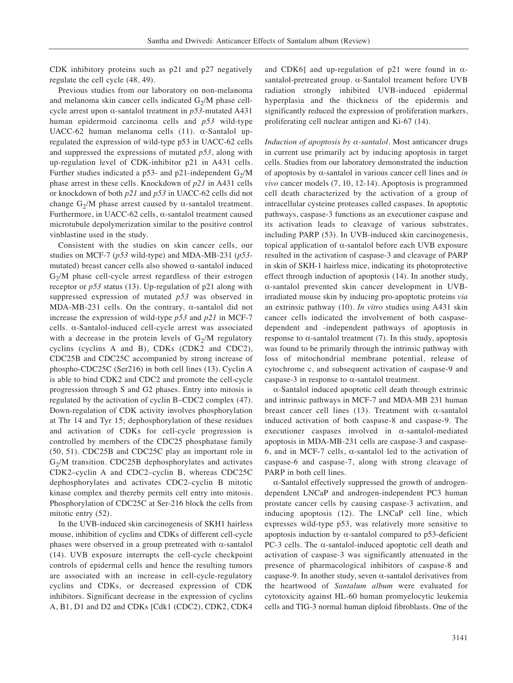CDK inhibitory proteins such as p21 and p27 negatively regulate the cell cycle (48, 49).

Previous studies from our laboratory on non-melanoma and melanoma skin cancer cells indicated  $G<sub>2</sub>/M$  phase cellcycle arrest upon α-santalol treatment in *p53*-mutated A431 human epidermoid carcinoma cells and *p53* wild-type UACC-62 human melanoma cells (11). α-Santalol upregulated the expression of wild-type p53 in UACC-62 cells and suppressed the expressions of mutated *p53*, along with up-regulation level of CDK-inhibitor p21 in A431 cells. Further studies indicated a p53- and p21-independent  $G_2/M$ phase arrest in these cells. Knockdown of *p21* in A431 cells or knockdown of both *p21* and *p53* in UACC-62 cells did not change  $G_2/M$  phase arrest caused by  $\alpha$ -santalol treatment. Furthermore, in UACC-62 cells, α-santalol treatment caused microtubule depolymerization similar to the positive control vinblastine used in the study.

Consistent with the studies on skin cancer cells, our studies on MCF-7 (*p53* wild-type) and MDA-MB-231 (*p53* mutated) breast cancer cells also showed α-santalol induced  $G<sub>2</sub>/M$  phase cell-cycle arrest regardless of their estrogen receptor or *p53* status (13). Up-regulation of p21 along with suppressed expression of mutated *p53* was observed in MDA-MB-231 cells. On the contrary, α-santalol did not increase the expression of wild-type *p53* and *p21* in MCF-7 cells. α-Santalol-induced cell-cycle arrest was associated with a decrease in the protein levels of  $G_2/M$  regulatory cyclins (cyclins A and B), CDKs (CDK2 and CDC2), CDC25B and CDC25C accompanied by strong increase of phospho-CDC25C (Ser216) in both cell lines (13). Cyclin A is able to bind CDK2 and CDC2 and promote the cell-cycle progression through S and G2 phases. Entry into mitosis is regulated by the activation of cyclin B–CDC2 complex (47). Down-regulation of CDK activity involves phosphorylation at Thr 14 and Tyr 15; dephosphorylation of these residues and activation of CDKs for cell-cycle progression is controlled by members of the CDC25 phosphatase family (50, 51). CDC25B and CDC25C play an important role in  $G<sub>2</sub>/M$  transition. CDC25B dephosphorylates and activates CDK2–cyclin A and CDC2–cyclin B, whereas CDC25C dephosphorylates and activates CDC2–cyclin B mitotic kinase complex and thereby permits cell entry into mitosis. Phosphorylation of CDC25C at Ser-216 block the cells from mitotic entry (52).

In the UVB-induced skin carcinogenesis of SKH1 hairless mouse, inhibition of cyclins and CDKs of different cell-cycle phases were observed in a group pretreated with α-santalol (14). UVB exposure interrupts the cell-cycle checkpoint controls of epidermal cells and hence the resulting tumors are associated with an increase in cell-cycle-regulatory cyclins and CDKs, or decreased expression of CDK inhibitors. Significant decrease in the expression of cyclins A, B1, D1 and D2 and CDKs [Cdk1 (CDC2), CDK2, CDK4 and CDK6] and up-regulation of p21 were found in  $\alpha$ santalol-pretreated group. α-Santalol treament before UVB radiation strongly inhibited UVB-induced epidermal hyperplasia and the thickness of the epidermis and significantly reduced the expression of proliferation markers, proliferating cell nuclear antigen and Ki-67 (14).

*Induction of apoptosis by α-santalol.* Most anticancer drugs in current use primarily act by inducing apoptosis in target cells. Studies from our laboratory demonstrated the induction of apoptosis by α-santalol in various cancer cell lines and *in vivo* cancer models (7, 10, 12-14). Apoptosis is programmed cell death characterized by the activation of a group of intracellular cysteine proteases called caspases. In apoptotic pathways, caspase-3 functions as an executioner caspase and its activation leads to cleavage of various substrates, including PARP (53). In UVB-induced skin carcinogenesis, topical application of α-santalol before each UVB exposure resulted in the activation of caspase-3 and cleavage of PARP in skin of SKH-1 hairless mice, indicating its photoprotective effect through induction of apoptosis (14). In another study, α-santalol prevented skin cancer development in UVBirradiated mouse skin by inducing pro-apoptotic proteins *via* an extrinsic pathway (10). *In vitro* studies using A431 skin cancer cells indicated the involvement of both caspasedependent and -independent pathways of apoptosis in response to α-santalol treatment (7). In this study, apoptosis was found to be primarily through the intrinsic pathway with loss of mitochondrial membrane potential, release of cytochrome c, and subsequent activation of caspase-9 and caspase-3 in response to  $\alpha$ -santalol treatment.

α-Santalol induced apoptotic cell death through extrinsic and intrinsic pathways in MCF-7 and MDA-MB 231 human breast cancer cell lines (13). Treatment with  $\alpha$ -santalol induced activation of both caspase-8 and caspase-9. The executioner caspases involved in α-santalol-mediated apoptosis in MDA-MB-231 cells are caspase-3 and caspase-6, and in MCF-7 cells, α-santalol led to the activation of caspase-6 and caspase-7, along with strong cleavage of PARP in both cell lines.

α-Santalol effectively suppressed the growth of androgendependent LNCaP and androgen-independent PC3 human prostate cancer cells by causing caspase-3 activation, and inducing apoptosis (12). The LNCaP cell line, which expresses wild-type p53, was relatively more sensitive to apoptosis induction by  $\alpha$ -santalol compared to p53-deficient PC-3 cells. The α-santalol-induced apoptotic cell death and activation of caspase-3 was significantly attenuated in the presence of pharmacological inhibitors of caspase-8 and caspase-9. In another study, seven  $\alpha$ -santalol derivatives from the heartwood of *Santalum album* were evaluated for cytotoxicity against HL-60 human promyelocytic leukemia cells and TIG-3 normal human diploid fibroblasts. One of the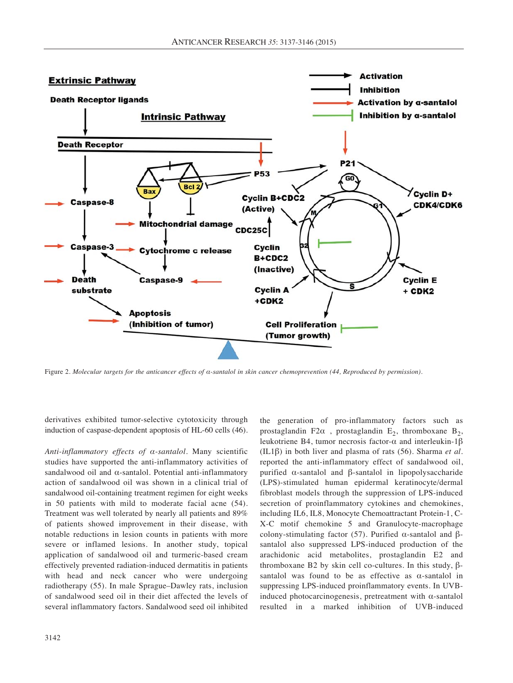

Figure 2. *Molecular targets for the anticancer effects of α-santalol in skin cancer chemoprevention (44, Reproduced by permission).*

derivatives exhibited tumor-selective cytotoxicity through induction of caspase-dependent apoptosis of HL-60 cells (46).

*Anti-inflammatory effects of α-santalol*. Many scientific studies have supported the anti-inflammatory activities of sandalwood oil and α-santalol. Potential anti-inflammatory action of sandalwood oil was shown in a clinical trial of sandalwood oil-containing treatment regimen for eight weeks in 50 patients with mild to moderate facial acne (54). Treatment was well tolerated by nearly all patients and 89% of patients showed improvement in their disease, with notable reductions in lesion counts in patients with more severe or inflamed lesions. In another study, topical application of sandalwood oil and turmeric-based cream effectively prevented radiation-induced dermatitis in patients with head and neck cancer who were undergoing radiotherapy (55). In male Sprague–Dawley rats, inclusion of sandalwood seed oil in their diet affected the levels of several inflammatory factors. Sandalwood seed oil inhibited the generation of pro-inflammatory factors such as prostaglandin F2 $\alpha$ , prostaglandin E<sub>2</sub>, thromboxane B<sub>2</sub>, leukotriene B4, tumor necrosis factor-α and interleukin-1β (IL1β) in both liver and plasma of rats (56). Sharma *et al.* reported the anti-inflammatory effect of sandalwood oil, purified α-santalol and β-santalol in lipopolysaccharide (LPS)-stimulated human epidermal keratinocyte/dermal fibroblast models through the suppression of LPS-induced secretion of proinflammatory cytokines and chemokines, including IL6, IL8, Monocyte Chemoattractant Protein-1, C-X-C motif chemokine 5 and Granulocyte-macrophage colony-stimulating factor (57). Purified α-santalol and βsantalol also suppressed LPS-induced production of the arachidonic acid metabolites, prostaglandin E2 and thromboxane B2 by skin cell co-cultures. In this study, βsantalol was found to be as effective as  $\alpha$ -santalol in suppressing LPS-induced proinflammatory events. In UVBinduced photocarcinogenesis, pretreatment with α-santalol resulted in a marked inhibition of UVB-induced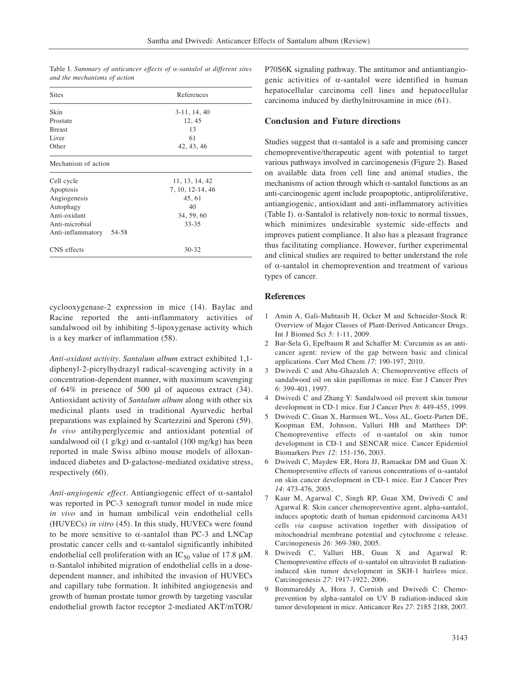| <b>Sites</b>               | References       |  |
|----------------------------|------------------|--|
| Skin                       | $3-11, 14, 40$   |  |
| Prostate                   | 12, 45           |  |
| <b>Breast</b>              | 13               |  |
| Liver                      | 61               |  |
| Other                      | 42, 43, 46       |  |
| Mechanism of action        |                  |  |
| Cell cycle                 | 11, 13, 14, 42   |  |
| Apoptosis                  | 7, 10, 12-14, 46 |  |
| Angiogenesis               | 45, 61           |  |
| Autophagy                  | 40               |  |
| Anti-oxidant               | 34, 59, 60       |  |
| Anti-microbial             | 33-35            |  |
| Anti-inflammatory<br>54-58 |                  |  |
| CNS effects                | $30 - 32$        |  |

Table I. *Summary of anticancer effects of α-santalol at different sites and the mechanisms of action*

cyclooxygenase-2 expression in mice (14). Baylac and Racine reported the anti-inflammatory activities of sandalwood oil by inhibiting 5-lipoxygenase activity which is a key marker of inflammation (58).

*Anti-oxidant activity. Santalum album* extract exhibited 1,1 diphenyl-2-picrylhydrazyl radical-scavenging activity in a concentration-dependent manner, with maximum scavenging of 64% in presence of 500 μl of aqueous extract (34). Antioxidant activity of *Santalum album* along with other six medicinal plants used in traditional Ayurvedic herbal preparations was explained by Scartezzini and Speroni (59). *In vivo* antihyperglycemic and antioxidant potential of sandalwood oil (1 g/kg) and  $\alpha$ -santalol (100 mg/kg) has been reported in male Swiss albino mouse models of alloxaninduced diabetes and D-galactose-mediated oxidative stress, respectively (60).

*Anti-angiogenic effect.* Antiangiogenic effect of α-santalol was reported in PC-3 xenograft tumor model in nude mice *in vivo* and in human umbilical vein endothelial cells (HUVECs) *in vitro* (45). In this study, HUVECs were found to be more sensitive to α-santalol than PC-3 and LNCap prostatic cancer cells and α-santalol significantly inhibited endothelial cell proliferation with an  $IC_{50}$  value of 17.8  $\mu$ M. α-Santalol inhibited migration of endothelial cells in a dosedependent manner, and inhibited the invasion of HUVECs and capillary tube formation. It inhibited angiogenesis and growth of human prostate tumor growth by targeting vascular endothelial growth factor receptor 2-mediated AKT/mTOR/ P70S6K signaling pathway. The antitumor and antiantiangiogenic activities of α-santalol were identified in human hepatocellular carcinoma cell lines and hepatocellular carcinoma induced by diethylnitrosamine in mice (61).

### **Conclusion and Future directions**

Studies suggest that  $\alpha$ -santalol is a safe and promising cancer chemopreventive/therapeutic agent with potential to target various pathways involved in carcinogenesis (Figure 2). Based on available data from cell line and animal studies, the mechanisms of action through which α-santalol functions as an anti-carcinogenic agent include proapoptotic, antiproliferative, antiangiogenic, antioxidant and anti-inflammatory activities (Table I). α-Santalol is relatively non-toxic to normal tissues, which minimizes undesirable systemic side-effects and improves patient compliance. It also has a pleasant fragrance thus facilitating compliance. However, further experimental and clinical studies are required to better understand the role of α-santalol in chemoprevention and treatment of various types of cancer.

## **References**

- 1 Amin A, Gali-Muhtasib H, Ocker M and Schneider-Stock R: Overview of Major Classes of Plant-Derived Anticancer Drugs. Int J Biomed Sci *5*: 1-11, 2009.
- 2 Bar-Sela G, Epelbaum R and Schaffer M: Curcumin as an anticancer agent: review of the gap between basic and clinical applications. Curr Med Chem *17*: 190-197, 2010.
- 3 Dwivedi C and Abu-Ghazaleh A: Chemopreventive effects of sandalwood oil on skin papillomas in mice. Eur J Cancer Prev *6*: 399-401, 1997.
- 4 Dwivedi C and Zhang Y: Sandalwood oil prevent skin tumour development in CD-1 mice. Eur J Cancer Prev *8*: 449-455, 1999.
- 5 Dwivedi C, Guan X, Harmsen WL, Voss AL, Goetz-Parten DE, Koopman EM, Johnson, Valluri HB and Matthees DP: Chemopreventive effects of α-santalol on skin tumor development in CD-1 and SENCAR mice. Cancer Epidemiol Biomarkers Prev *12*: 151-156, 2003.
- 6 Dwivedi C, Maydew ER, Hora JJ, Ramaekar DM and Guan X: Chemopreventive effects of various concentrations of α-santalol on skin cancer development in CD-1 mice. Eur J Cancer Prev *14*: 473-476, 2005.
- 7 Kaur M, Agarwal C, Singh RP, Guan XM, Dwivedi C and Agarwal R: Skin cancer chemopreventive agent, alpha-santalol, induces apoptotic death of human epidermoid carcinoma A431 cells *via* caspase activation together with dissipation of mitochondrial membrane potential and cytochrome c release. Carcinogenesis *26*: 369-380, 2005.
- 8 Dwivedi C, Valluri HB, Guan X and Agarwal R: Chemopreventive effects of α-santalol on ultraviolet B radiationinduced skin tumor development in SKH-1 hairless mice. Carcinogenesis *27*: 1917-1922, 2006.
- 9 Bommareddy A, Hora J, Cornish and Dwivedi C: Chemoprevention by alpha-santalol on UV B radiation-induced skin tumor development in mice. Anticancer Res *27*: 2185 2188, 2007.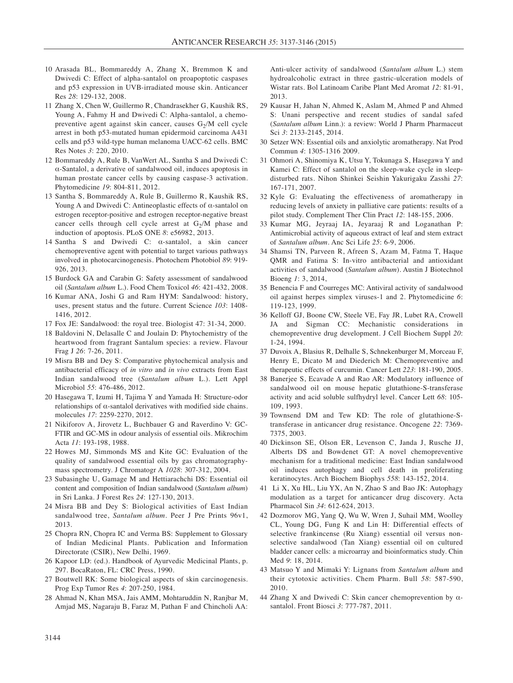- 10 Arasada BL, Bommareddy A, Zhang X, Bremmon K and Dwivedi C: Effect of alpha-santalol on proapoptotic caspases and p53 expression in UVB-irradiated mouse skin. Anticancer Res *28*: 129-132, 2008.
- 11 Zhang X, Chen W, Guillermo R, Chandrasekher G, Kaushik RS, Young A, Fahmy H and Dwivedi C: Alpha-santalol, a chemopreventive agent against skin cancer, causes  $G_2/M$  cell cycle arrest in both p53-mutated human epidermoid carcinoma A431 cells and p53 wild-type human melanoma UACC-62 cells. BMC Res Notes *3*: 220, 2010.
- 12 Bommareddy A, Rule B, VanWert AL, Santha S and Dwivedi C: α-Santalol, a derivative of sandalwood oil, induces apoptosis in human prostate cancer cells by causing caspase-3 activation. Phytomedicine *19*: 804-811, 2012.
- 13 Santha S, Bommareddy A, Rule B, Guillermo R, Kaushik RS, Young A and Dwivedi C: Antineoplastic effects of α-santalol on estrogen receptor-positive and estrogen receptor-negative breast cancer cells through cell cycle arrest at  $G_2/M$  phase and induction of apoptosis. PLoS ONE *8*: e56982, 2013.
- 14 Santha S and Dwivedi C: α-santalol, a skin cancer chemopreventive agent with potential to target various pathways involved in photocarcinogenesis. Photochem Photobiol *89*: 919- 926, 2013.
- 15 Burdock GA and Carabin G: Safety assessment of sandalwood oil (*Santalum album* L.). Food Chem Toxicol *46*: 421-432, 2008.
- 16 Kumar ANA, Joshi G and Ram HYM: Sandalwood: history, uses, present status and the future. Current Science *103*: 1408- 1416, 2012.
- 17 Fox JE: Sandalwood: the royal tree. Biologist 47: 31-34, 2000.
- 18 Baldovini N, Delasalle C and Joulain D: Phytochemistry of the heartwood from fragrant Santalum species: a review. Flavour Frag J *26*: 7-26, 2011.
- 19 Misra BB and Dey S: Comparative phytochemical analysis and antibacterial efficacy of *in vitro* and *in vivo* extracts from East Indian sandalwood tree (*Santalum album* L.). Lett Appl Microbiol *55*: 476-486, 2012.
- 20 Hasegawa T, Izumi H, Tajima Y and Yamada H: Structure-odor relationships of α-santalol derivatives with modified side chains. molecules *17*: 2259-2270, 2012.
- 21 Nikiforov A, Jirovetz L, Buchbauer G and Raverdino V: GC-FTIR and GC-MS in odour analysis of essential oils. Mikrochim Acta *11*: 193-198, 1988.
- 22 Howes MJ, Simmonds MS and Kite GC: Evaluation of the quality of sandalwood essential oils by gas chromatographymass spectrometry. J Chromatogr A *1028*: 307-312, 2004.
- 23 Subasinghe U, Gamage M and Hettiarachchi DS: Essential oil content and composition of Indian sandalwood (*Santalum album*) in Sri Lanka. J Forest Res *24*: 127-130, 2013.
- 24 Misra BB and Dey S: Biological activities of East Indian sandalwood tree, *Santalum album*. Peer J Pre Prints 96v1, 2013.
- 25 Chopra RN, Chopra IC and Verma BS: Supplement to Glossary of Indian Medicinal Plants. Publication and Information Directorate (CSIR), New Delhi, 1969.
- 26 Kapoor LD: (ed.). Handbook of Ayurvedic Medicinal Plants, p. 297. BocaRaton, FL: CRC Press, 1990.
- 27 Boutwell RK: Some biological aspects of skin carcinogenesis. Prog Exp Tumor Res *4*: 207-250, 1984.
- 28 Ahmad N, Khan MSA, Jais AMM, Mohtaruddin N, Ranjbar M, Amjad MS, Nagaraju B, Faraz M, Pathan F and Chincholi AA:

Anti-ulcer activity of sandalwood (*Santalum album* L.) stem hydroalcoholic extract in three gastric-ulceration models of Wistar rats. Bol Latinoam Caribe Plant Med Aromat *12*: 81-91, 2013.

- 29 Kausar H, Jahan N, Ahmed K, Aslam M, Ahmed P and Ahmed S: Unani perspective and recent studies of sandal safed (*Santalum album* Linn.): a review: World J Pharm Pharmaceut Sci *3*: 2133-2145, 2014.
- 30 Setzer WN: Essential oils and anxiolytic aromatherapy. Nat Prod Commun *4*: 1305-1316 2009.
- 31 Ohmori A, Shinomiya K, Utsu Y, Tokunaga S, Hasegawa Y and Kamei C: Effect of santalol on the sleep-wake cycle in sleepdisturbed rats. Nihon Shinkei Seishin Yakurigaku Zasshi *27*: 167-171, 2007.
- 32 Kyle G: Evaluating the effectiveness of aromatherapy in reducing levels of anxiety in palliative care patients: results of a pilot study. Complement Ther Clin Pract *12*: 148-155, 2006.
- 33 Kumar MG, Jeyraaj IA, Jeyaraaj R and Loganathan P: Antimicrobial activity of aqueous extract of leaf and stem extract of *Santalum album*. Anc Sci Life *25*: 6-9, 2006.
- 34 Shamsi TN, Parveen R, Afreen S, Azam M, Fatma T, Haque QMR and Fatima S: In-vitro antibacterial and antioxidant activities of sandalwood (*Santalum album*). Austin J Biotechnol Bioeng *1*: 3, 2014,
- 35 Benencia F and Courreges MC: Antiviral activity of sandalwood oil against herpes simplex viruses-1 and 2. Phytomedicine *6*: 119-123, 1999.
- 36 Kelloff GJ, Boone CW, Steele VE, Fay JR, Lubet RA, Crowell JA and Sigman CC: Mechanistic considerations in chemopreventive drug development. J Cell Biochem Suppl *20*: 1-24, 1994.
- 37 Duvoix A, Blasius R, Delhalle S, Schnekenburger M, Morceau F, Henry E, Dicato M and Diederich M: Chemopreventive and therapeutic effects of curcumin. Cancer Lett *223*: 181-190, 2005.
- 38 Banerjee S, Ecavade A and Rao AR: Modulatory influence of sandalwood oil on mouse hepatic glutathione-S-transferase activity and acid soluble sulfhydryl level. Cancer Lett *68*: 105- 109, 1993.
- 39 Townsend DM and Tew KD: The role of glutathione-Stransferase in anticancer drug resistance. Oncogene *22*: 7369- 7375, 2003.
- 40 Dickinson SE, Olson ER, Levenson C, Janda J, Rusche JJ, Alberts DS and Bowdenet GT: A novel chemopreventive mechanism for a traditional medicine: East Indian sandalwood oil induces autophagy and cell death in proliferating keratinocytes. Arch Biochem Biophys *558*: 143-152, 2014.
- 41 Li X, Xu HL, Liu YX, An N, Zhao S and Bao JK: Autophagy modulation as a target for anticancer drug discovery. Acta Pharmacol Sin *34*: 612-624, 2013.
- 42 Dozmorov MG, Yang Q, Wu W, Wren J, Suhail MM, Woolley CL, Young DG, Fung K and Lin H: Differential effects of selective frankincense (Ru Xiang) essential oil versus nonselective sandalwood (Tan Xiang) essential oil on cultured bladder cancer cells: a microarray and bioinformatics study. Chin Med *9*: 18, 2014.
- 43 Matsuo Y and Mimaki Y: Lignans from *Santalum album* and their cytotoxic activities. Chem Pharm. Bull *58*: 587-590, 2010.
- 44 Zhang X and Dwivedi C: Skin cancer chemoprevention by  $\alpha$ santalol. Front Biosci *3*: 777-787, 2011.